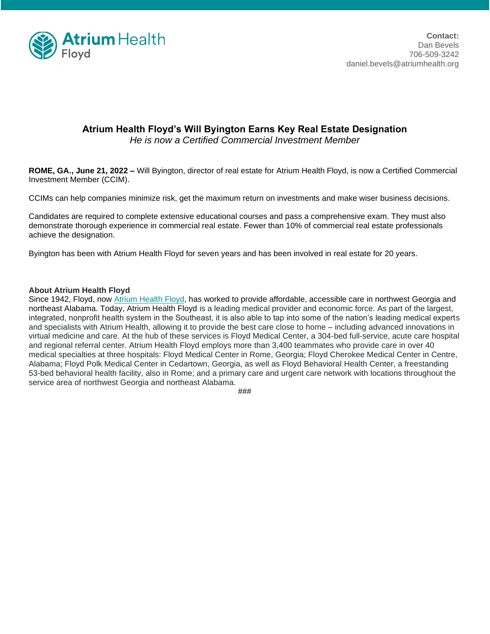

## **Atrium Health Floyd's Will Byington Earns Key Real Estate Designation**

*He is now a Certified Commercial Investment Member*

**ROME, GA., June 21, 2022 –** Will Byington, director of real estate for Atrium Health Floyd, is now a Certified Commercial Investment Member (CCIM).

CCIMs can help companies minimize risk, get the maximum return on investments and make wiser business decisions.

Candidates are required to complete extensive educational courses and pass a comprehensive exam. They must also demonstrate thorough experience in commercial real estate. Fewer than 10% of commercial real estate professionals achieve the designation.

Byington has been with Atrium Health Floyd for seven years and has been involved in real estate for 20 years.

## **About Atrium Health Floyd**

Since 1942, Floyd, now [Atrium Health Floyd,](http://www.floyd.org/) has worked to provide affordable, accessible care in northwest Georgia and northeast Alabama. Today, Atrium Health Floyd is a leading medical provider and economic force. As part of the largest, integrated, nonprofit health system in the Southeast, it is also able to tap into some of the nation's leading medical experts and specialists with Atrium Health, allowing it to provide the best care close to home – including advanced innovations in virtual medicine and care. At the hub of these services is Floyd Medical Center, a 304-bed full-service, acute care hospital and regional referral center. Atrium Health Floyd employs more than 3,400 teammates who provide care in over 40 medical specialties at three hospitals: Floyd Medical Center in Rome, Georgia; Floyd Cherokee Medical Center in Centre, Alabama; Floyd Polk Medical Center in Cedartown, Georgia, as well as Floyd Behavioral Health Center, a freestanding 53-bed behavioral health facility, also in Rome; and a primary care and urgent care network with locations throughout the service area of northwest Georgia and northeast Alabama.